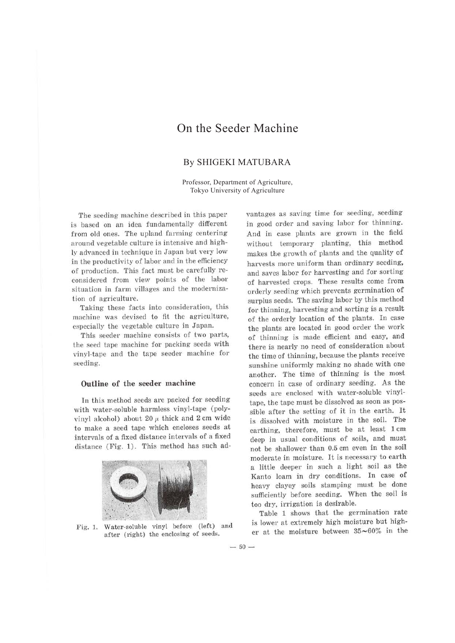# On the Seeder Machine

## By SHIGEKI MATUBARA

Professor, Department of Agriculture, Tokyo University of Agriculture

The seeding machine described in this paper is based on an idea fundamentally different from old ones. The upland farming centering around vegetable culture is intensive and highly advanced in technique in Japan but very low in the productivity of labor and in the efficiency of production. This fact must be carefully reconsidered from view points of the labor situation in farm villages and the modernization of agriculture.

Taking these facts into consideration, this machine was devised to fit the agriculture, especially the vegetable culture in Japan.

This seeder machine consists of two parts, the seed tape machine for packing seeds with vinyl-tape and the tape seeder machine for seeding.

#### **Outline of the seeder machine**

In this method seeds are packed for seeding with water-soluble harmless vinyl-tape (polyvinyl alcohol) about 20  $\mu$  thick and 2 cm wide to make a seed tape which encloses seeds at intervals of a fixed distance intervals of a fixed distance (Fig. 1). This method has such ad-



Fig. 1. Water-soluble vinyl before (left) and after (right) the enclosing of seeds.

vantages as saving time for seeding, seeding in good order and saving labor for thinning. And in case plants are grown in the field without temporary planting, this method makes the growth of plants and the quality of harvests more uniform than ordinary seeding, and saves labor for harvesting and for sorting of harvested crops. These results come from orderly seeding which prevents germination of surplus seeds. The saving labor by this method for thinning, harvesting and sorting is a result of the orderly location of the plants. In case the plants are located in good order the work of thinning is made efficient and easy, and there is nearly no need of consideration about the time of thinning, because the plants receive sunshine uniformly making no shade with one another. The time of thinning is the most concern in case of ordinary seeding. As the seeds are enclosed with water-soluble vinyltape, the tape must be dissolved as soon as possible after the setting of it in the earth. It is dissolved with moisture in the soil. The earthing, therefore, must be at least 1 cm deep in usual conditions of soils, and must not be shallower than 0.5 cm even in the soil moderate in moisture. It is necessary to earth a little deeper in such a light soil as the Kanto loam in dry conditions. In case of heavy clayey soils stamping must be done sufficiently before seeding. When the soil is too dry, irrigation is desirable.

Table 1 shows that the germination rate is lower at extremely high moisture but higher at the moisture between  $35{\sim}60\%$  in the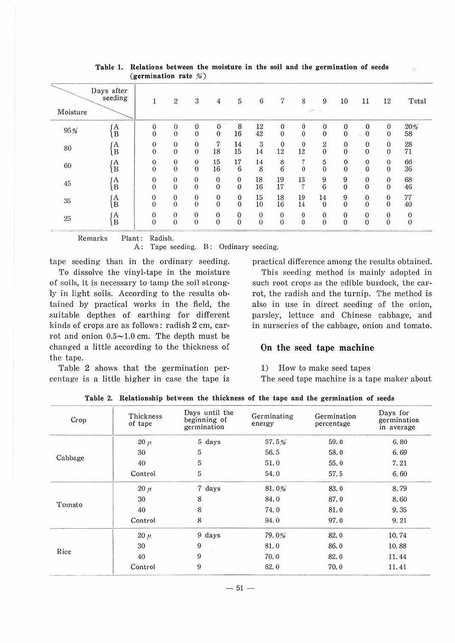|          | Days after<br>seeding                       |                           | $\,2$                                | $\boldsymbol{3}$                            | 4                                         | 5                            | $\sqrt{6}$ | 7                                | 8                   | 9                                  | 10                                   | 11                                   | 12                                   | Total                                   |
|----------|---------------------------------------------|---------------------------|--------------------------------------|---------------------------------------------|-------------------------------------------|------------------------------|------------|----------------------------------|---------------------|------------------------------------|--------------------------------------|--------------------------------------|--------------------------------------|-----------------------------------------|
| Moisture |                                             |                           |                                      |                                             |                                           |                              |            |                                  |                     | 1960 10                            |                                      |                                      |                                      |                                         |
| 95%      | $\mathbf{A}$ <sub>B</sub>                   | $\mathbf{0}$<br>$\sigma$  | $\begin{matrix} 0 \\ 0 \end{matrix}$ | $\Omega$                                    | 0<br>0                                    | 8<br>16                      | 12<br>42   | $\theta$                         | 0                   | $\mathbf{0}$                       | $\mathbf{0}$<br>$\mathbf{0}$         | $\mathbf{0}$<br>$\theta$             | $\begin{matrix} 0 \\ 0 \end{matrix}$ | 20%<br>58                               |
| 80       | A<br>B                                      | 0<br>$\theta$             | 0<br>$\bf{0}$                        | $\mathbf{0}$<br>$\Omega$                    | 7<br>18                                   | 14<br>15                     | 3<br>14    | 0<br>12                          | $\mathbf{0}$<br>12  | $\boldsymbol{2}$<br>$\overline{0}$ | 0<br>$\overline{0}$                  | 0<br>$\mathbf{0}$                    | $\boldsymbol{0}$<br>$\overline{0}$   | $\substack{28\\71}$                     |
| 60       | ${A} \choose{B}$                            | 0<br>$\overline{0}$       | $\mathbf{0}$<br>$\theta$             | $\begin{matrix}0\\0\end{matrix}$            | 15<br>16                                  | 17<br>$6\overline{6}$        | 14<br>8    | $\begin{matrix}8\\6\end{matrix}$ | 7<br>$\overline{0}$ | $\begin{matrix}5\\0\end{matrix}$   | $_{0}^{0}$                           | $\boldsymbol{0}$<br>$\overline{0}$   | $\begin{matrix} 0 \\ 0 \end{matrix}$ | $\begin{array}{c} 66 \\ 36 \end{array}$ |
| 45       | $\begin{array}{c} \nA \\ \nB \n\end{array}$ | 0<br>$\ddot{0}$           | $\begin{matrix} 0 \\ 0 \end{matrix}$ | $\begin{smallmatrix}0\0\0\end{smallmatrix}$ | $\begin{smallmatrix}0\0\end{smallmatrix}$ | $\mathbf{0}$<br>$\mathbf{0}$ | 18<br>16   | 19<br>17                         | $\frac{13}{7}$      | 9<br>6                             | $\begin{matrix} 9 \\ 0 \end{matrix}$ | $\begin{matrix} 0 \\ 0 \end{matrix}$ | $_{0}^{0}$                           | $\frac{68}{46}$                         |
| 35       | $\frac{A}{B}$                               | $\mathbf 0$<br>$\ddot{0}$ | 0<br>$\ddot{\mathbf{0}}$             | $\mathbf{0}$<br>$\theta$                    | $\mathbf{0}$<br>$\theta$                  | $\bf{0}$<br>$\theta$         | 15<br>10   | 18<br>16                         | 19<br>14            | 14<br>$\theta$                     | $\frac{9}{0}$                        | $\bf{0}$<br>$\overline{0}$           | $\begin{matrix} 0 \\ 0 \end{matrix}$ | 77<br>40                                |
| $25\,$   | $\frac{A}{B}$                               | $\mathbf 0$<br>0          | $\mathbf{0}$<br>$\overline{0}$       | $\mathbf{0}$<br>$\theta$                    | $\theta$<br>$\theta$                      | 0                            | $\Omega$   | $\theta$                         | $\mathbf{0}$        | $\mathbf{0}$<br>$\Omega$           | $\bf{0}$<br>$\overline{0}$           | $\begin{matrix} 0 \\ 0 \end{matrix}$ | $\theta$<br>$\overline{0}$           | $\begin{matrix} 0 \\ 0 \end{matrix}$    |

**'fable 1. Relations between the moisture in the soil and the germination of seeds (germination rate** %)

Remarks Plant: Radish.

A: Tape seeding. B: Ordinary seeding.

tape seeding than in the ordinary seeding. practical difference among the results obtained.

*To* dissolve the vinyl-tape in the moisture of soils, it is necessary to tamp the soil strongly in light soils. According to the results obtained by practical works in the field, the suitable depthes of earthing for different kinds of crops are as follows : radish 2 cm, carrot and onion  $0.5 \sim 1.0$  cm. The depth must be changed a little according to the thickness of the tape.

Table 2 shows that the germination percentage is a little higher in case the tape is

de.

This seeding method is mainly adopted in such root crops as the edible burdock, the carrot, the radish and the turnip. The method is also in use in direct seeding of the onion, parsley, lettuce and Chinese cabbage, and in nurseries of the cabbage, onion and tomato.

### **On the seed tape machine**

1) How to make seed tapes

The seed tape machine is a tape maker about

| Crop    | Thickness<br>of tape | Days until the<br>beginning of<br>germination | Germinating<br>energy | Germination<br>percentage | Days for<br>in average                                                                                          |
|---------|----------------------|-----------------------------------------------|-----------------------|---------------------------|-----------------------------------------------------------------------------------------------------------------|
|         | $20 \mu$             | 5 days                                        | 57.5%                 | 59.0                      | germination<br>6.80<br>6.69<br>7.21<br>6.60<br>8.79<br>8.60<br>9.35<br>9.21<br>10.74<br>10.88<br>11.44<br>11.41 |
|         | 30                   | 5                                             | 56.5                  | 58.0                      |                                                                                                                 |
| Cabbage | 40                   | 5                                             | 51.0                  | 55.0                      |                                                                                                                 |
|         | Control              | $\overline{5}$                                | 54.0                  | 57.5                      |                                                                                                                 |
|         | $20 \mu$             | 7 days                                        | 81.0%                 | 83.0                      |                                                                                                                 |
|         | 30                   | 8                                             | 84.0                  | 87.0                      |                                                                                                                 |
| Tomato  | 40                   | $\bf 8$                                       | 74.0                  | 81.0                      |                                                                                                                 |
|         | Control              | $\bf8$                                        | 94.0                  | 97.0                      |                                                                                                                 |
|         | $20 \mu$             | 9 days                                        | 79.0%                 | 82.0                      |                                                                                                                 |
|         | 30                   | $\boldsymbol{9}$                              | 81.0                  | 86.0                      |                                                                                                                 |
| Rice    | 40                   | 9                                             | 70.0                  | 82.0                      |                                                                                                                 |
|         | Control              | 9                                             | 62.0                  | 70.0                      |                                                                                                                 |

**Table 2. Relationship between the thickness of the tape and the germination of seeds**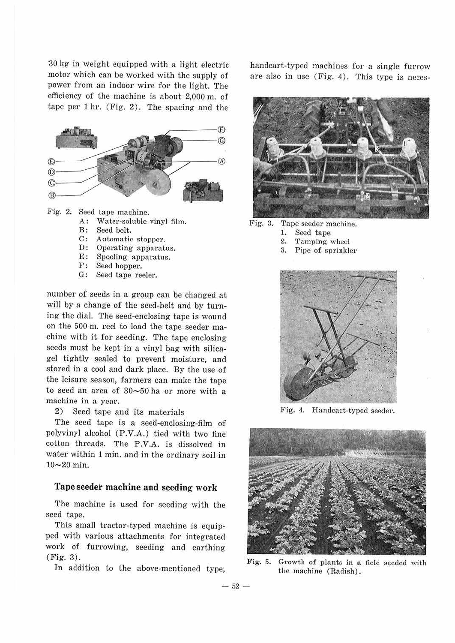'30 kg in weight equipped with a light electric motor which can be worked with the supply of power from an indoor wire for the light. The efficiency of the machine is about 2,000 m. of tape per 1 hr. (Fig. 2). The spacing and the



- Fig. 2. Seed tape machine.
	- A: Water-soluble vinyl film.
	- B: Seed belt.
	- C: Automatic stopper.
	- D: Operating apparatus.<br>E: Spooling apparatus.
	- E: Spooling apparatus.<br>F: Seed hopper.
	- Seed hopper.
	- G: Seed tape reeler.

number of seeds in a group can be changed at will by a change of the seed-belt and by turning the dial. The seed-enclosing tape is wound on the 500 m. reel to load the tape seeder machine with it for seeding. The tape enclosing seeds must be kept in a vinyl bag with silicagel tightly sealed to prevent moisture, and stored in a cool and dark place. By the use of the leisure season, farmers can make the tape to seed an area of 30-50 ha or more with a machine in a year.

2) Seed tape and its materials

The seed tape is a seed-enclosing-film of polyvinyl alcohol (P.V.A.) tied with two fine cotton threads. The P.V.A. is dissolved in water within 1 min. and in the ordinary soil in  $10 - 20$  min.

## **Tape seeder machine and seeding work**

The machine is used for seeding with the seed tape.

This small tractor-typed machine is equipped with various attachments for integrated work of furrowing, seeding and earthing (Fig. 3).

In addition to the above-mentioned type,

handcart-typed machines for a single furrow are also in use (Fig. 4). This type is neces-



Fig. 3. Tape seeder machine.

- 1. Seed tape<br>2. Tamping
- Tamping wheel
- 3. Pipe of sprinkler



Fig. 4. Handcart-typed seeder.



Fig. 5. Growth of plants in a field seeded with the machine (Radish).